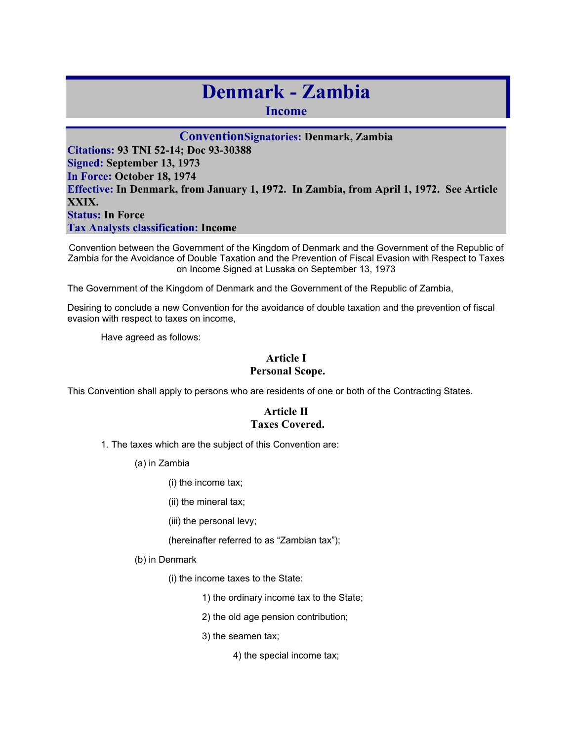# **Denmark - Zambia**

**Income** 

**ConventionSignatories: Denmark, Zambia Citations: 93 TNI 52-14; Doc 93-30388 Signed: September 13, 1973 In Force: October 18, 1974 Effective: In Denmark, from January 1, 1972. In Zambia, from April 1, 1972. See Article XXIX. Status: In Force Tax Analysts classification: Income** 

Convention between the Government of the Kingdom of Denmark and the Government of the Republic of Zambia for the Avoidance of Double Taxation and the Prevention of Fiscal Evasion with Respect to Taxes on Income Signed at Lusaka on September 13, 1973

The Government of the Kingdom of Denmark and the Government of the Republic of Zambia,

Desiring to conclude a new Convention for the avoidance of double taxation and the prevention of fiscal evasion with respect to taxes on income,

Have agreed as follows:

# **Article I Personal Scope.**

This Convention shall apply to persons who are residents of one or both of the Contracting States.

## **Article II Taxes Covered.**

1. The taxes which are the subject of this Convention are:

(a) in Zambia

(i) the income tax;

- (ii) the mineral tax;
- (iii) the personal levy;
- (hereinafter referred to as "Zambian tax");
- (b) in Denmark
	- (i) the income taxes to the State:
		- 1) the ordinary income tax to the State;
		- 2) the old age pension contribution;
		- 3) the seamen tax;

4) the special income tax;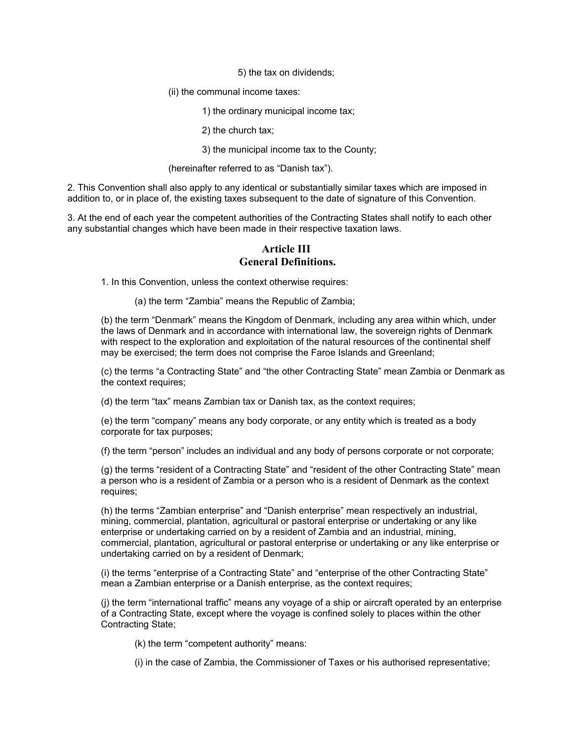5) the tax on dividends;

(ii) the communal income taxes:

1) the ordinary municipal income tax;

2) the church tax;

3) the municipal income tax to the County;

(hereinafter referred to as "Danish tax").

2. This Convention shall also apply to any identical or substantially similar taxes which are imposed in addition to, or in place of, the existing taxes subsequent to the date of signature of this Convention.

3. At the end of each year the competent authorities of the Contracting States shall notify to each other any substantial changes which have been made in their respective taxation laws.

#### **Article III General Definitions.**

1. In this Convention, unless the context otherwise requires:

(a) the term "Zambia" means the Republic of Zambia;

(b) the term "Denmark" means the Kingdom of Denmark, including any area within which, under the laws of Denmark and in accordance with international law, the sovereign rights of Denmark with respect to the exploration and exploitation of the natural resources of the continental shelf may be exercised; the term does not comprise the Faroe Islands and Greenland;

(c) the terms "a Contracting State" and "the other Contracting State" mean Zambia or Denmark as the context requires;

(d) the term "tax" means Zambian tax or Danish tax, as the context requires;

(e) the term "company" means any body corporate, or any entity which is treated as a body corporate for tax purposes;

(f) the term "person" includes an individual and any body of persons corporate or not corporate;

(g) the terms "resident of a Contracting State" and "resident of the other Contracting State" mean a person who is a resident of Zambia or a person who is a resident of Denmark as the context requires;

(h) the terms "Zambian enterprise" and "Danish enterprise" mean respectively an industrial, mining, commercial, plantation, agricultural or pastoral enterprise or undertaking or any like enterprise or undertaking carried on by a resident of Zambia and an industrial, mining, commercial, plantation, agricultural or pastoral enterprise or undertaking or any like enterprise or undertaking carried on by a resident of Denmark;

(i) the terms "enterprise of a Contracting State" and "enterprise of the other Contracting State" mean a Zambian enterprise or a Danish enterprise, as the context requires;

(j) the term "international traffic" means any voyage of a ship or aircraft operated by an enterprise of a Contracting State, except where the voyage is confined solely to places within the other Contracting State;

(k) the term "competent authority" means:

(i) in the case of Zambia, the Commissioner of Taxes or his authorised representative;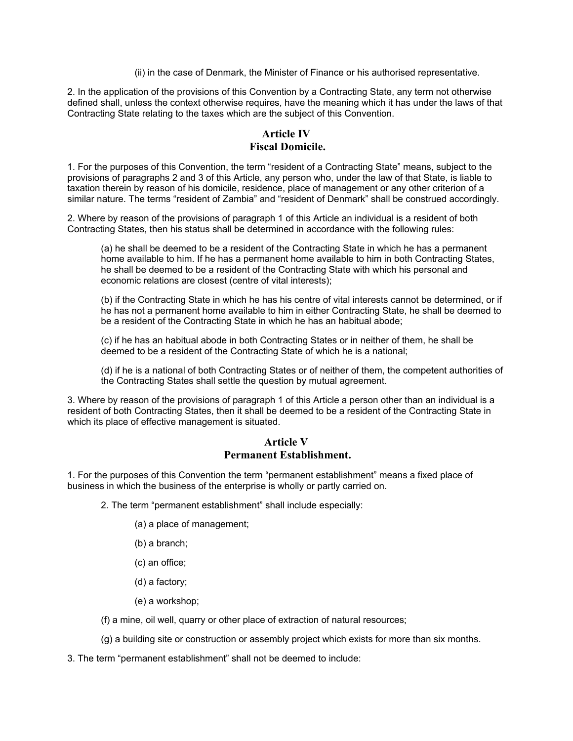(ii) in the case of Denmark, the Minister of Finance or his authorised representative.

2. In the application of the provisions of this Convention by a Contracting State, any term not otherwise defined shall, unless the context otherwise requires, have the meaning which it has under the laws of that Contracting State relating to the taxes which are the subject of this Convention.

## **Article IV Fiscal Domicile.**

1. For the purposes of this Convention, the term "resident of a Contracting State" means, subject to the provisions of paragraphs 2 and 3 of this Article, any person who, under the law of that State, is liable to taxation therein by reason of his domicile, residence, place of management or any other criterion of a similar nature. The terms "resident of Zambia" and "resident of Denmark" shall be construed accordingly.

2. Where by reason of the provisions of paragraph 1 of this Article an individual is a resident of both Contracting States, then his status shall be determined in accordance with the following rules:

(a) he shall be deemed to be a resident of the Contracting State in which he has a permanent home available to him. If he has a permanent home available to him in both Contracting States, he shall be deemed to be a resident of the Contracting State with which his personal and economic relations are closest (centre of vital interests);

(b) if the Contracting State in which he has his centre of vital interests cannot be determined, or if he has not a permanent home available to him in either Contracting State, he shall be deemed to be a resident of the Contracting State in which he has an habitual abode;

(c) if he has an habitual abode in both Contracting States or in neither of them, he shall be deemed to be a resident of the Contracting State of which he is a national;

(d) if he is a national of both Contracting States or of neither of them, the competent authorities of the Contracting States shall settle the question by mutual agreement.

3. Where by reason of the provisions of paragraph 1 of this Article a person other than an individual is a resident of both Contracting States, then it shall be deemed to be a resident of the Contracting State in which its place of effective management is situated.

#### **Article V Permanent Establishment.**

1. For the purposes of this Convention the term "permanent establishment" means a fixed place of business in which the business of the enterprise is wholly or partly carried on.

2. The term "permanent establishment" shall include especially:

- (a) a place of management;
- (b) a branch;
- (c) an office;
- (d) a factory;
- (e) a workshop;
- (f) a mine, oil well, quarry or other place of extraction of natural resources;

(g) a building site or construction or assembly project which exists for more than six months.

3. The term "permanent establishment" shall not be deemed to include: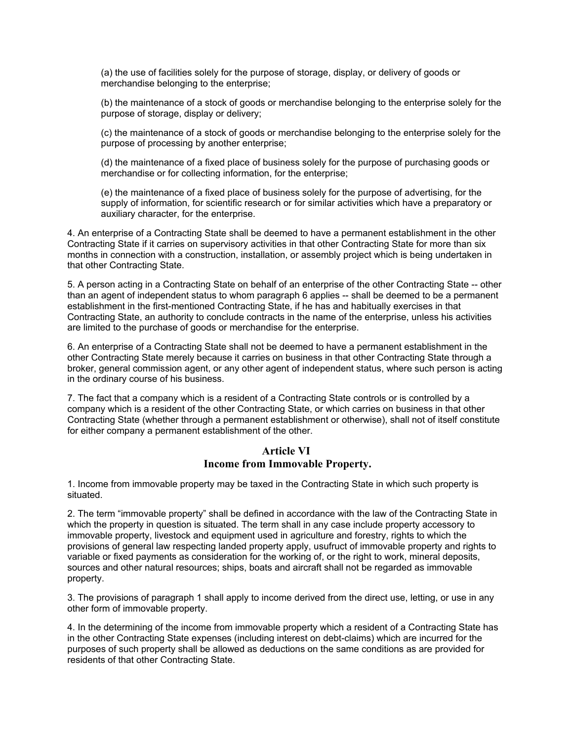(a) the use of facilities solely for the purpose of storage, display, or delivery of goods or merchandise belonging to the enterprise;

(b) the maintenance of a stock of goods or merchandise belonging to the enterprise solely for the purpose of storage, display or delivery;

(c) the maintenance of a stock of goods or merchandise belonging to the enterprise solely for the purpose of processing by another enterprise;

(d) the maintenance of a fixed place of business solely for the purpose of purchasing goods or merchandise or for collecting information, for the enterprise;

(e) the maintenance of a fixed place of business solely for the purpose of advertising, for the supply of information, for scientific research or for similar activities which have a preparatory or auxiliary character, for the enterprise.

4. An enterprise of a Contracting State shall be deemed to have a permanent establishment in the other Contracting State if it carries on supervisory activities in that other Contracting State for more than six months in connection with a construction, installation, or assembly project which is being undertaken in that other Contracting State.

5. A person acting in a Contracting State on behalf of an enterprise of the other Contracting State -- other than an agent of independent status to whom paragraph 6 applies -- shall be deemed to be a permanent establishment in the first-mentioned Contracting State, if he has and habitually exercises in that Contracting State, an authority to conclude contracts in the name of the enterprise, unless his activities are limited to the purchase of goods or merchandise for the enterprise.

6. An enterprise of a Contracting State shall not be deemed to have a permanent establishment in the other Contracting State merely because it carries on business in that other Contracting State through a broker, general commission agent, or any other agent of independent status, where such person is acting in the ordinary course of his business.

7. The fact that a company which is a resident of a Contracting State controls or is controlled by a company which is a resident of the other Contracting State, or which carries on business in that other Contracting State (whether through a permanent establishment or otherwise), shall not of itself constitute for either company a permanent establishment of the other.

#### **Article VI Income from Immovable Property.**

1. Income from immovable property may be taxed in the Contracting State in which such property is situated.

2. The term "immovable property" shall be defined in accordance with the law of the Contracting State in which the property in question is situated. The term shall in any case include property accessory to immovable property, livestock and equipment used in agriculture and forestry, rights to which the provisions of general law respecting landed property apply, usufruct of immovable property and rights to variable or fixed payments as consideration for the working of, or the right to work, mineral deposits, sources and other natural resources; ships, boats and aircraft shall not be regarded as immovable property.

3. The provisions of paragraph 1 shall apply to income derived from the direct use, letting, or use in any other form of immovable property.

4. In the determining of the income from immovable property which a resident of a Contracting State has in the other Contracting State expenses (including interest on debt-claims) which are incurred for the purposes of such property shall be allowed as deductions on the same conditions as are provided for residents of that other Contracting State.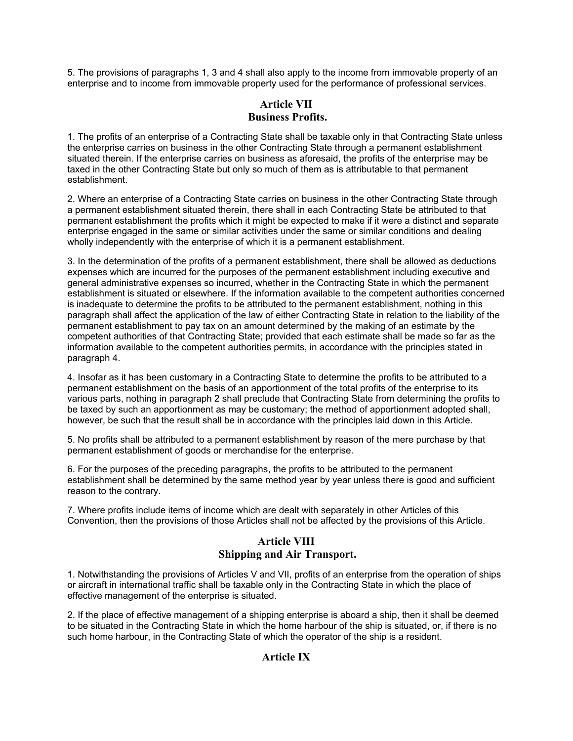5. The provisions of paragraphs 1, 3 and 4 shall also apply to the income from immovable property of an enterprise and to income from immovable property used for the performance of professional services.

# **Article VII Business Profits.**

1. The profits of an enterprise of a Contracting State shall be taxable only in that Contracting State unless the enterprise carries on business in the other Contracting State through a permanent establishment situated therein. If the enterprise carries on business as aforesaid, the profits of the enterprise may be taxed in the other Contracting State but only so much of them as is attributable to that permanent establishment.

2. Where an enterprise of a Contracting State carries on business in the other Contracting State through a permanent establishment situated therein, there shall in each Contracting State be attributed to that permanent establishment the profits which it might be expected to make if it were a distinct and separate enterprise engaged in the same or similar activities under the same or similar conditions and dealing wholly independently with the enterprise of which it is a permanent establishment.

3. In the determination of the profits of a permanent establishment, there shall be allowed as deductions expenses which are incurred for the purposes of the permanent establishment including executive and general administrative expenses so incurred, whether in the Contracting State in which the permanent establishment is situated or elsewhere. If the information available to the competent authorities concerned is inadequate to determine the profits to be attributed to the permanent establishment, nothing in this paragraph shall affect the application of the law of either Contracting State in relation to the liability of the permanent establishment to pay tax on an amount determined by the making of an estimate by the competent authorities of that Contracting State; provided that each estimate shall be made so far as the information available to the competent authorities permits, in accordance with the principles stated in paragraph 4.

4. Insofar as it has been customary in a Contracting State to determine the profits to be attributed to a permanent establishment on the basis of an apportionment of the total profits of the enterprise to its various parts, nothing in paragraph 2 shall preclude that Contracting State from determining the profits to be taxed by such an apportionment as may be customary; the method of apportionment adopted shall, however, be such that the result shall be in accordance with the principles laid down in this Article.

5. No profits shall be attributed to a permanent establishment by reason of the mere purchase by that permanent establishment of goods or merchandise for the enterprise.

6. For the purposes of the preceding paragraphs, the profits to be attributed to the permanent establishment shall be determined by the same method year by year unless there is good and sufficient reason to the contrary.

7. Where profits include items of income which are dealt with separately in other Articles of this Convention, then the provisions of those Articles shall not be affected by the provisions of this Article.

# **Article VIII Shipping and Air Transport.**

1. Notwithstanding the provisions of Articles V and VII, profits of an enterprise from the operation of ships or aircraft in international traffic shall be taxable only in the Contracting State in which the place of effective management of the enterprise is situated.

2. If the place of effective management of a shipping enterprise is aboard a ship, then it shall be deemed to be situated in the Contracting State in which the home harbour of the ship is situated, or, if there is no such home harbour, in the Contracting State of which the operator of the ship is a resident.

# **Article IX**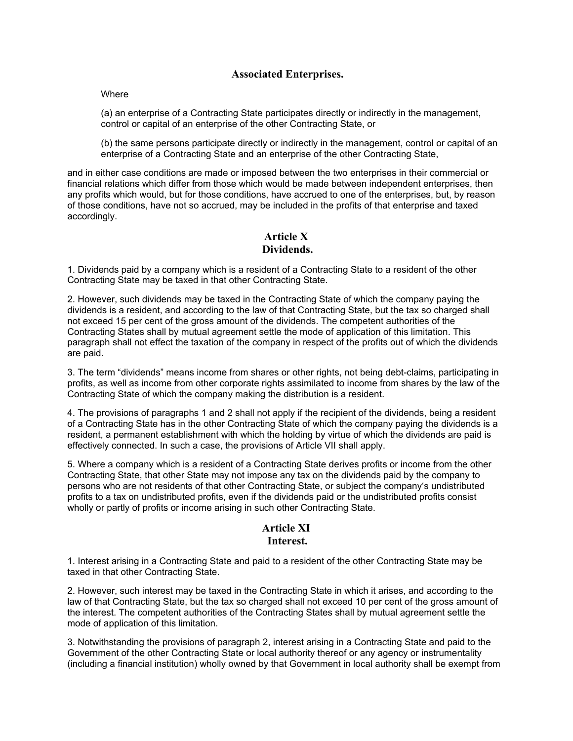#### **Associated Enterprises.**

#### Where

(a) an enterprise of a Contracting State participates directly or indirectly in the management, control or capital of an enterprise of the other Contracting State, or

(b) the same persons participate directly or indirectly in the management, control or capital of an enterprise of a Contracting State and an enterprise of the other Contracting State,

and in either case conditions are made or imposed between the two enterprises in their commercial or financial relations which differ from those which would be made between independent enterprises, then any profits which would, but for those conditions, have accrued to one of the enterprises, but, by reason of those conditions, have not so accrued, may be included in the profits of that enterprise and taxed accordingly.

#### **Article X Dividends.**

1. Dividends paid by a company which is a resident of a Contracting State to a resident of the other Contracting State may be taxed in that other Contracting State.

2. However, such dividends may be taxed in the Contracting State of which the company paying the dividends is a resident, and according to the law of that Contracting State, but the tax so charged shall not exceed 15 per cent of the gross amount of the dividends. The competent authorities of the Contracting States shall by mutual agreement settle the mode of application of this limitation. This paragraph shall not effect the taxation of the company in respect of the profits out of which the dividends are paid.

3. The term "dividends" means income from shares or other rights, not being debt-claims, participating in profits, as well as income from other corporate rights assimilated to income from shares by the law of the Contracting State of which the company making the distribution is a resident.

4. The provisions of paragraphs 1 and 2 shall not apply if the recipient of the dividends, being a resident of a Contracting State has in the other Contracting State of which the company paying the dividends is a resident, a permanent establishment with which the holding by virtue of which the dividends are paid is effectively connected. In such a case, the provisions of Article VII shall apply.

5. Where a company which is a resident of a Contracting State derives profits or income from the other Contracting State, that other State may not impose any tax on the dividends paid by the company to persons who are not residents of that other Contracting State, or subject the company's undistributed profits to a tax on undistributed profits, even if the dividends paid or the undistributed profits consist wholly or partly of profits or income arising in such other Contracting State.

#### **Article XI Interest.**

1. Interest arising in a Contracting State and paid to a resident of the other Contracting State may be taxed in that other Contracting State.

2. However, such interest may be taxed in the Contracting State in which it arises, and according to the law of that Contracting State, but the tax so charged shall not exceed 10 per cent of the gross amount of the interest. The competent authorities of the Contracting States shall by mutual agreement settle the mode of application of this limitation.

3. Notwithstanding the provisions of paragraph 2, interest arising in a Contracting State and paid to the Government of the other Contracting State or local authority thereof or any agency or instrumentality (including a financial institution) wholly owned by that Government in local authority shall be exempt from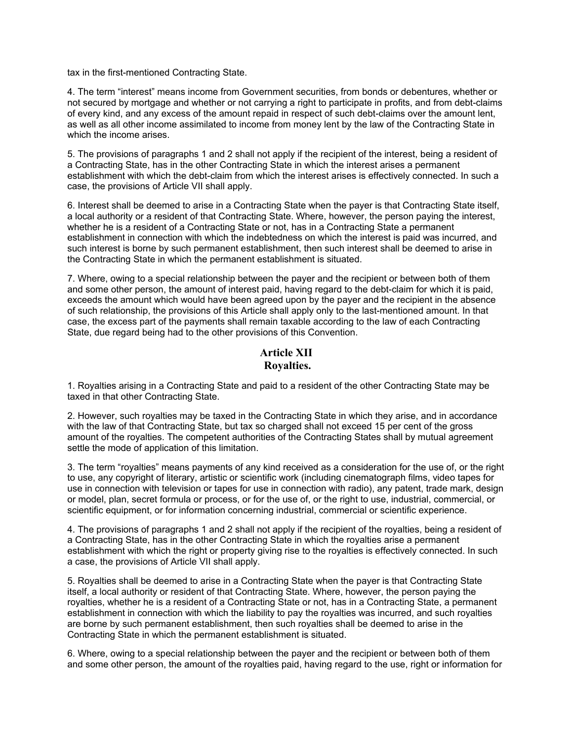tax in the first-mentioned Contracting State.

4. The term "interest" means income from Government securities, from bonds or debentures, whether or not secured by mortgage and whether or not carrying a right to participate in profits, and from debt-claims of every kind, and any excess of the amount repaid in respect of such debt-claims over the amount lent, as well as all other income assimilated to income from money lent by the law of the Contracting State in which the income arises.

5. The provisions of paragraphs 1 and 2 shall not apply if the recipient of the interest, being a resident of a Contracting State, has in the other Contracting State in which the interest arises a permanent establishment with which the debt-claim from which the interest arises is effectively connected. In such a case, the provisions of Article VII shall apply.

6. Interest shall be deemed to arise in a Contracting State when the payer is that Contracting State itself, a local authority or a resident of that Contracting State. Where, however, the person paying the interest, whether he is a resident of a Contracting State or not, has in a Contracting State a permanent establishment in connection with which the indebtedness on which the interest is paid was incurred, and such interest is borne by such permanent establishment, then such interest shall be deemed to arise in the Contracting State in which the permanent establishment is situated.

7. Where, owing to a special relationship between the payer and the recipient or between both of them and some other person, the amount of interest paid, having regard to the debt-claim for which it is paid, exceeds the amount which would have been agreed upon by the payer and the recipient in the absence of such relationship, the provisions of this Article shall apply only to the last-mentioned amount. In that case, the excess part of the payments shall remain taxable according to the law of each Contracting State, due regard being had to the other provisions of this Convention.

#### **Article XII Royalties.**

1. Royalties arising in a Contracting State and paid to a resident of the other Contracting State may be taxed in that other Contracting State.

2. However, such royalties may be taxed in the Contracting State in which they arise, and in accordance with the law of that Contracting State, but tax so charged shall not exceed 15 per cent of the gross amount of the royalties. The competent authorities of the Contracting States shall by mutual agreement settle the mode of application of this limitation.

3. The term "royalties" means payments of any kind received as a consideration for the use of, or the right to use, any copyright of literary, artistic or scientific work (including cinematograph films, video tapes for use in connection with television or tapes for use in connection with radio), any patent, trade mark, design or model, plan, secret formula or process, or for the use of, or the right to use, industrial, commercial, or scientific equipment, or for information concerning industrial, commercial or scientific experience.

4. The provisions of paragraphs 1 and 2 shall not apply if the recipient of the royalties, being a resident of a Contracting State, has in the other Contracting State in which the royalties arise a permanent establishment with which the right or property giving rise to the royalties is effectively connected. In such a case, the provisions of Article VII shall apply.

5. Royalties shall be deemed to arise in a Contracting State when the payer is that Contracting State itself, a local authority or resident of that Contracting State. Where, however, the person paying the royalties, whether he is a resident of a Contracting State or not, has in a Contracting State, a permanent establishment in connection with which the liability to pay the royalties was incurred, and such royalties are borne by such permanent establishment, then such royalties shall be deemed to arise in the Contracting State in which the permanent establishment is situated.

6. Where, owing to a special relationship between the payer and the recipient or between both of them and some other person, the amount of the royalties paid, having regard to the use, right or information for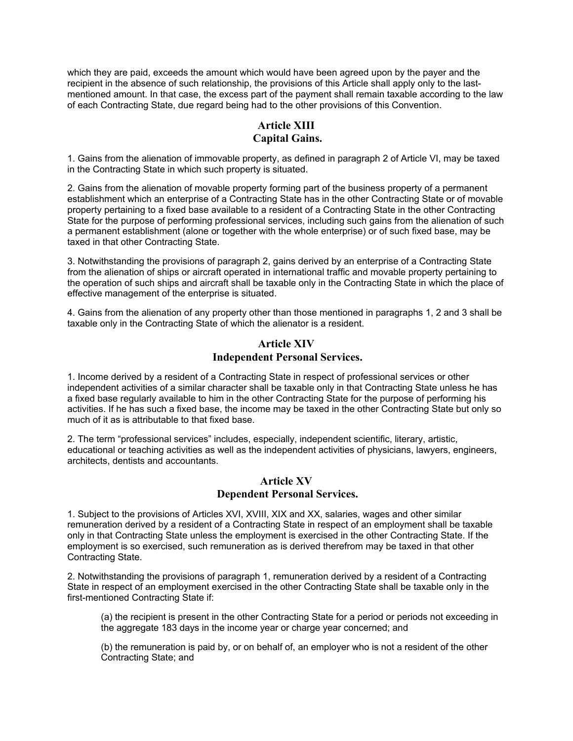which they are paid, exceeds the amount which would have been agreed upon by the payer and the recipient in the absence of such relationship, the provisions of this Article shall apply only to the lastmentioned amount. In that case, the excess part of the payment shall remain taxable according to the law of each Contracting State, due regard being had to the other provisions of this Convention.

# **Article XIII Capital Gains.**

1. Gains from the alienation of immovable property, as defined in paragraph 2 of Article VI, may be taxed in the Contracting State in which such property is situated.

2. Gains from the alienation of movable property forming part of the business property of a permanent establishment which an enterprise of a Contracting State has in the other Contracting State or of movable property pertaining to a fixed base available to a resident of a Contracting State in the other Contracting State for the purpose of performing professional services, including such gains from the alienation of such a permanent establishment (alone or together with the whole enterprise) or of such fixed base, may be taxed in that other Contracting State.

3. Notwithstanding the provisions of paragraph 2, gains derived by an enterprise of a Contracting State from the alienation of ships or aircraft operated in international traffic and movable property pertaining to the operation of such ships and aircraft shall be taxable only in the Contracting State in which the place of effective management of the enterprise is situated.

4. Gains from the alienation of any property other than those mentioned in paragraphs 1, 2 and 3 shall be taxable only in the Contracting State of which the alienator is a resident.

#### **Article XIV Independent Personal Services.**

1. Income derived by a resident of a Contracting State in respect of professional services or other independent activities of a similar character shall be taxable only in that Contracting State unless he has a fixed base regularly available to him in the other Contracting State for the purpose of performing his activities. If he has such a fixed base, the income may be taxed in the other Contracting State but only so much of it as is attributable to that fixed base.

2. The term "professional services" includes, especially, independent scientific, literary, artistic, educational or teaching activities as well as the independent activities of physicians, lawyers, engineers, architects, dentists and accountants.

## **Article XV Dependent Personal Services.**

1. Subject to the provisions of Articles XVI, XVIII, XIX and XX, salaries, wages and other similar remuneration derived by a resident of a Contracting State in respect of an employment shall be taxable only in that Contracting State unless the employment is exercised in the other Contracting State. If the employment is so exercised, such remuneration as is derived therefrom may be taxed in that other Contracting State.

2. Notwithstanding the provisions of paragraph 1, remuneration derived by a resident of a Contracting State in respect of an employment exercised in the other Contracting State shall be taxable only in the first-mentioned Contracting State if:

(a) the recipient is present in the other Contracting State for a period or periods not exceeding in the aggregate 183 days in the income year or charge year concerned; and

(b) the remuneration is paid by, or on behalf of, an employer who is not a resident of the other Contracting State; and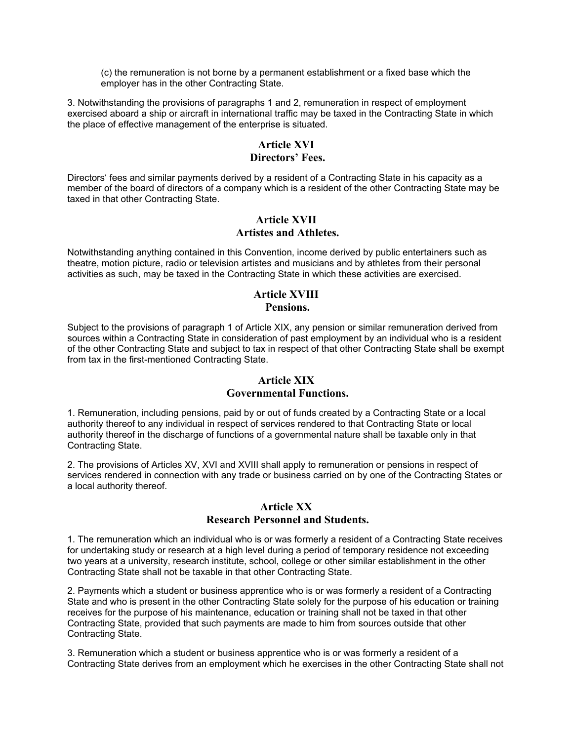(c) the remuneration is not borne by a permanent establishment or a fixed base which the employer has in the other Contracting State.

3. Notwithstanding the provisions of paragraphs 1 and 2, remuneration in respect of employment exercised aboard a ship or aircraft in international traffic may be taxed in the Contracting State in which the place of effective management of the enterprise is situated.

#### **Article XVI**

#### **Directors' Fees.**

Directors' fees and similar payments derived by a resident of a Contracting State in his capacity as a member of the board of directors of a company which is a resident of the other Contracting State may be taxed in that other Contracting State.

## **Article XVII Artistes and Athletes.**

Notwithstanding anything contained in this Convention, income derived by public entertainers such as theatre, motion picture, radio or television artistes and musicians and by athletes from their personal activities as such, may be taxed in the Contracting State in which these activities are exercised.

#### **Article XVIII Pensions.**

Subject to the provisions of paragraph 1 of Article XIX, any pension or similar remuneration derived from sources within a Contracting State in consideration of past employment by an individual who is a resident of the other Contracting State and subject to tax in respect of that other Contracting State shall be exempt from tax in the first-mentioned Contracting State.

# **Article XIX**

#### **Governmental Functions.**

1. Remuneration, including pensions, paid by or out of funds created by a Contracting State or a local authority thereof to any individual in respect of services rendered to that Contracting State or local authority thereof in the discharge of functions of a governmental nature shall be taxable only in that Contracting State.

2. The provisions of Articles XV, XVI and XVIII shall apply to remuneration or pensions in respect of services rendered in connection with any trade or business carried on by one of the Contracting States or a local authority thereof.

# **Article XX**

#### **Research Personnel and Students.**

1. The remuneration which an individual who is or was formerly a resident of a Contracting State receives for undertaking study or research at a high level during a period of temporary residence not exceeding two years at a university, research institute, school, college or other similar establishment in the other Contracting State shall not be taxable in that other Contracting State.

2. Payments which a student or business apprentice who is or was formerly a resident of a Contracting State and who is present in the other Contracting State solely for the purpose of his education or training receives for the purpose of his maintenance, education or training shall not be taxed in that other Contracting State, provided that such payments are made to him from sources outside that other Contracting State.

3. Remuneration which a student or business apprentice who is or was formerly a resident of a Contracting State derives from an employment which he exercises in the other Contracting State shall not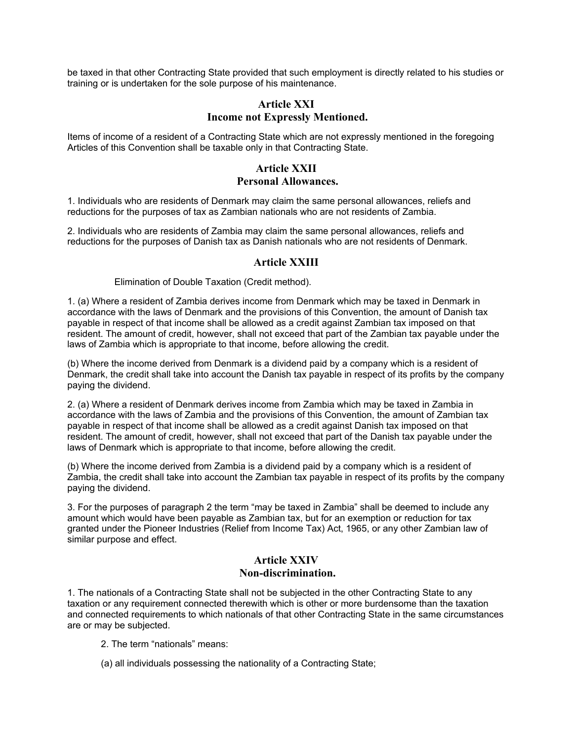be taxed in that other Contracting State provided that such employment is directly related to his studies or training or is undertaken for the sole purpose of his maintenance.

#### **Article XXI Income not Expressly Mentioned.**

Items of income of a resident of a Contracting State which are not expressly mentioned in the foregoing Articles of this Convention shall be taxable only in that Contracting State.

#### **Article XXII Personal Allowances.**

1. Individuals who are residents of Denmark may claim the same personal allowances, reliefs and reductions for the purposes of tax as Zambian nationals who are not residents of Zambia.

2. Individuals who are residents of Zambia may claim the same personal allowances, reliefs and reductions for the purposes of Danish tax as Danish nationals who are not residents of Denmark.

## **Article XXIII**

Elimination of Double Taxation (Credit method).

1. (a) Where a resident of Zambia derives income from Denmark which may be taxed in Denmark in accordance with the laws of Denmark and the provisions of this Convention, the amount of Danish tax payable in respect of that income shall be allowed as a credit against Zambian tax imposed on that resident. The amount of credit, however, shall not exceed that part of the Zambian tax payable under the laws of Zambia which is appropriate to that income, before allowing the credit.

(b) Where the income derived from Denmark is a dividend paid by a company which is a resident of Denmark, the credit shall take into account the Danish tax payable in respect of its profits by the company paying the dividend.

2. (a) Where a resident of Denmark derives income from Zambia which may be taxed in Zambia in accordance with the laws of Zambia and the provisions of this Convention, the amount of Zambian tax payable in respect of that income shall be allowed as a credit against Danish tax imposed on that resident. The amount of credit, however, shall not exceed that part of the Danish tax payable under the laws of Denmark which is appropriate to that income, before allowing the credit.

(b) Where the income derived from Zambia is a dividend paid by a company which is a resident of Zambia, the credit shall take into account the Zambian tax payable in respect of its profits by the company paying the dividend.

3. For the purposes of paragraph 2 the term "may be taxed in Zambia" shall be deemed to include any amount which would have been payable as Zambian tax, but for an exemption or reduction for tax granted under the Pioneer Industries (Relief from Income Tax) Act, 1965, or any other Zambian law of similar purpose and effect.

## **Article XXIV Non-discrimination.**

1. The nationals of a Contracting State shall not be subjected in the other Contracting State to any taxation or any requirement connected therewith which is other or more burdensome than the taxation and connected requirements to which nationals of that other Contracting State in the same circumstances are or may be subjected.

- 2. The term "nationals" means:
- (a) all individuals possessing the nationality of a Contracting State;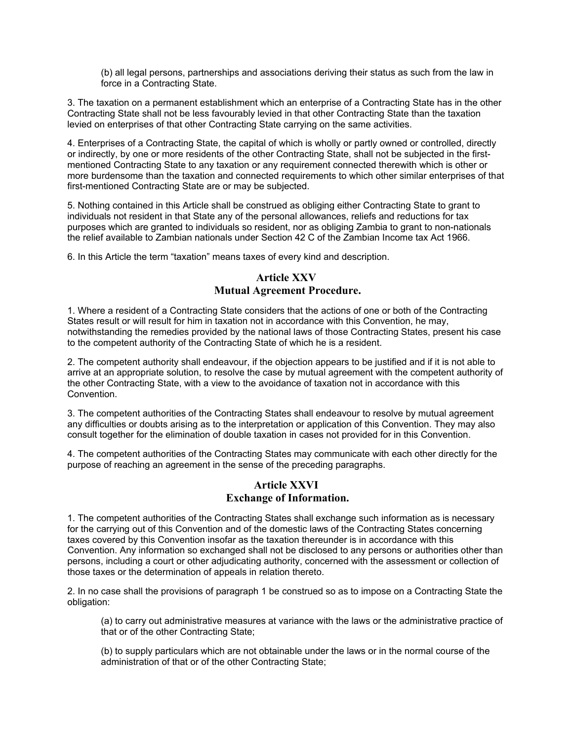(b) all legal persons, partnerships and associations deriving their status as such from the law in force in a Contracting State.

3. The taxation on a permanent establishment which an enterprise of a Contracting State has in the other Contracting State shall not be less favourably levied in that other Contracting State than the taxation levied on enterprises of that other Contracting State carrying on the same activities.

4. Enterprises of a Contracting State, the capital of which is wholly or partly owned or controlled, directly or indirectly, by one or more residents of the other Contracting State, shall not be subjected in the firstmentioned Contracting State to any taxation or any requirement connected therewith which is other or more burdensome than the taxation and connected requirements to which other similar enterprises of that first-mentioned Contracting State are or may be subjected.

5. Nothing contained in this Article shall be construed as obliging either Contracting State to grant to individuals not resident in that State any of the personal allowances, reliefs and reductions for tax purposes which are granted to individuals so resident, nor as obliging Zambia to grant to non-nationals the relief available to Zambian nationals under Section 42 C of the Zambian Income tax Act 1966.

6. In this Article the term "taxation" means taxes of every kind and description.

## **Article XXV Mutual Agreement Procedure.**

1. Where a resident of a Contracting State considers that the actions of one or both of the Contracting States result or will result for him in taxation not in accordance with this Convention, he may, notwithstanding the remedies provided by the national laws of those Contracting States, present his case to the competent authority of the Contracting State of which he is a resident.

2. The competent authority shall endeavour, if the objection appears to be justified and if it is not able to arrive at an appropriate solution, to resolve the case by mutual agreement with the competent authority of the other Contracting State, with a view to the avoidance of taxation not in accordance with this **Convention** 

3. The competent authorities of the Contracting States shall endeavour to resolve by mutual agreement any difficulties or doubts arising as to the interpretation or application of this Convention. They may also consult together for the elimination of double taxation in cases not provided for in this Convention.

4. The competent authorities of the Contracting States may communicate with each other directly for the purpose of reaching an agreement in the sense of the preceding paragraphs.

## **Article XXVI Exchange of Information.**

1. The competent authorities of the Contracting States shall exchange such information as is necessary for the carrying out of this Convention and of the domestic laws of the Contracting States concerning taxes covered by this Convention insofar as the taxation thereunder is in accordance with this Convention. Any information so exchanged shall not be disclosed to any persons or authorities other than persons, including a court or other adjudicating authority, concerned with the assessment or collection of those taxes or the determination of appeals in relation thereto.

2. In no case shall the provisions of paragraph 1 be construed so as to impose on a Contracting State the obligation:

(a) to carry out administrative measures at variance with the laws or the administrative practice of that or of the other Contracting State;

(b) to supply particulars which are not obtainable under the laws or in the normal course of the administration of that or of the other Contracting State;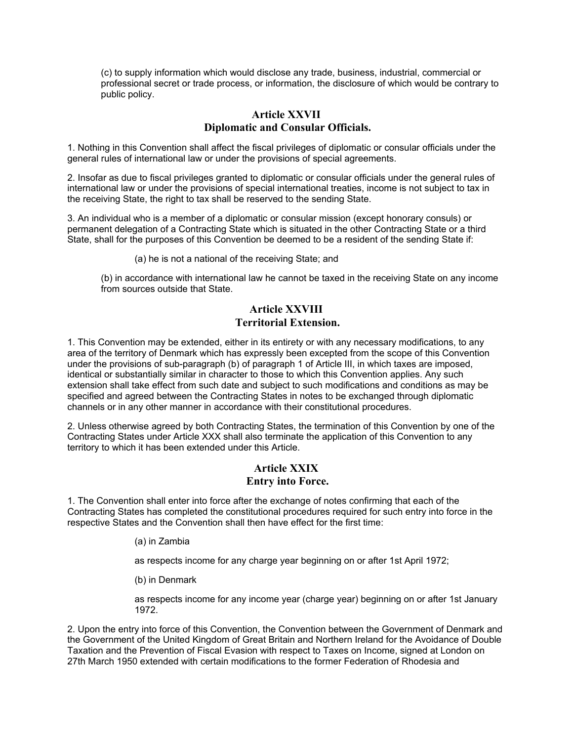(c) to supply information which would disclose any trade, business, industrial, commercial or professional secret or trade process, or information, the disclosure of which would be contrary to public policy.

#### **Article XXVII Diplomatic and Consular Officials.**

1. Nothing in this Convention shall affect the fiscal privileges of diplomatic or consular officials under the general rules of international law or under the provisions of special agreements.

2. Insofar as due to fiscal privileges granted to diplomatic or consular officials under the general rules of international law or under the provisions of special international treaties, income is not subject to tax in the receiving State, the right to tax shall be reserved to the sending State.

3. An individual who is a member of a diplomatic or consular mission (except honorary consuls) or permanent delegation of a Contracting State which is situated in the other Contracting State or a third State, shall for the purposes of this Convention be deemed to be a resident of the sending State if:

(a) he is not a national of the receiving State; and

(b) in accordance with international law he cannot be taxed in the receiving State on any income from sources outside that State.

# **Article XXVIII Territorial Extension.**

1. This Convention may be extended, either in its entirety or with any necessary modifications, to any area of the territory of Denmark which has expressly been excepted from the scope of this Convention under the provisions of sub-paragraph (b) of paragraph 1 of Article III, in which taxes are imposed, identical or substantially similar in character to those to which this Convention applies. Any such extension shall take effect from such date and subject to such modifications and conditions as may be specified and agreed between the Contracting States in notes to be exchanged through diplomatic channels or in any other manner in accordance with their constitutional procedures.

2. Unless otherwise agreed by both Contracting States, the termination of this Convention by one of the Contracting States under Article XXX shall also terminate the application of this Convention to any territory to which it has been extended under this Article.

## **Article XXIX Entry into Force.**

1. The Convention shall enter into force after the exchange of notes confirming that each of the Contracting States has completed the constitutional procedures required for such entry into force in the respective States and the Convention shall then have effect for the first time:

#### (a) in Zambia

as respects income for any charge year beginning on or after 1st April 1972;

(b) in Denmark

as respects income for any income year (charge year) beginning on or after 1st January 1972.

2. Upon the entry into force of this Convention, the Convention between the Government of Denmark and the Government of the United Kingdom of Great Britain and Northern Ireland for the Avoidance of Double Taxation and the Prevention of Fiscal Evasion with respect to Taxes on Income, signed at London on 27th March 1950 extended with certain modifications to the former Federation of Rhodesia and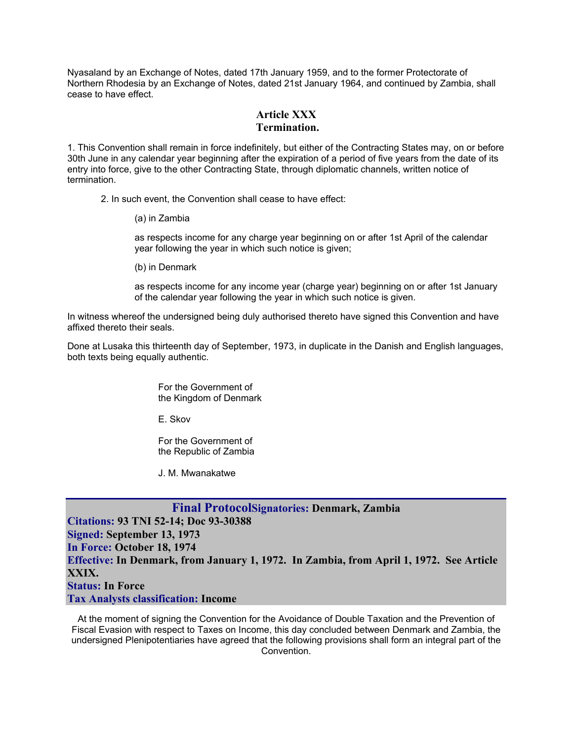Nyasaland by an Exchange of Notes, dated 17th January 1959, and to the former Protectorate of Northern Rhodesia by an Exchange of Notes, dated 21st January 1964, and continued by Zambia, shall cease to have effect.

## **Article XXX Termination.**

1. This Convention shall remain in force indefinitely, but either of the Contracting States may, on or before 30th June in any calendar year beginning after the expiration of a period of five years from the date of its entry into force, give to the other Contracting State, through diplomatic channels, written notice of termination.

2. In such event, the Convention shall cease to have effect:

#### (a) in Zambia

as respects income for any charge year beginning on or after 1st April of the calendar year following the year in which such notice is given;

(b) in Denmark

as respects income for any income year (charge year) beginning on or after 1st January of the calendar year following the year in which such notice is given.

In witness whereof the undersigned being duly authorised thereto have signed this Convention and have affixed thereto their seals.

Done at Lusaka this thirteenth day of September, 1973, in duplicate in the Danish and English languages, both texts being equally authentic.

> For the Government of the Kingdom of Denmark

E. Skov

 For the Government of the Republic of Zambia

J. M. Mwanakatwe

## **Final ProtocolSignatories: Denmark, Zambia Citations: 93 TNI 52-14; Doc 93-30388 Signed: September 13, 1973 In Force: October 18, 1974 Effective: In Denmark, from January 1, 1972. In Zambia, from April 1, 1972. See Article XXIX. Status: In Force Tax Analysts classification: Income**

At the moment of signing the Convention for the Avoidance of Double Taxation and the Prevention of Fiscal Evasion with respect to Taxes on Income, this day concluded between Denmark and Zambia, the undersigned Plenipotentiaries have agreed that the following provisions shall form an integral part of the Convention.